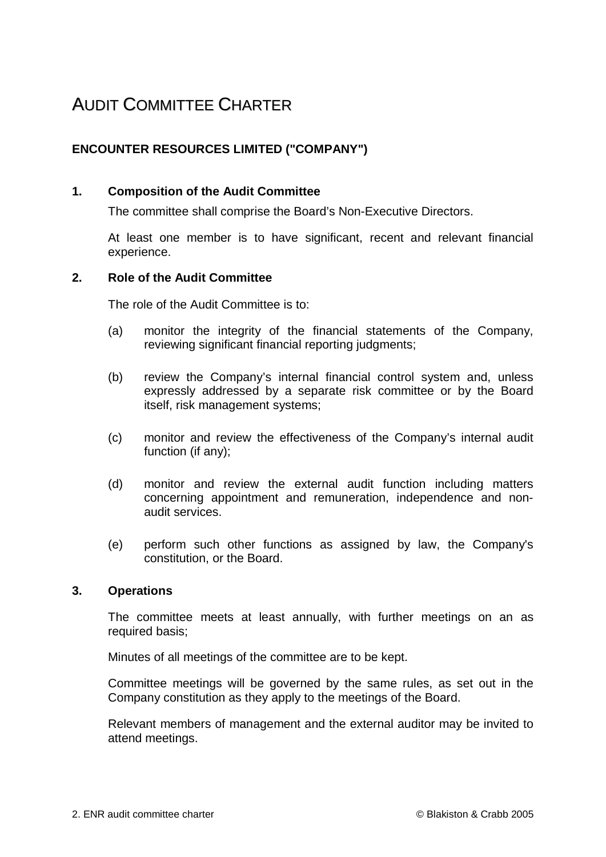## AUDIT COMMITTEE CHARTER

## **ENCOUNTER RESOURCES LIMITED ("COMPANY")**

## **1. Composition of the Audit Committee**

The committee shall comprise the Board's Non-Executive Directors.

At least one member is to have significant, recent and relevant financial experience.

## **2. Role of the Audit Committee**

The role of the Audit Committee is to:

- (a) monitor the integrity of the financial statements of the Company, reviewing significant financial reporting judgments;
- (b) review the Company's internal financial control system and, unless expressly addressed by a separate risk committee or by the Board itself, risk management systems;
- (c) monitor and review the effectiveness of the Company's internal audit function (if any);
- (d) monitor and review the external audit function including matters concerning appointment and remuneration, independence and nonaudit services.
- (e) perform such other functions as assigned by law, the Company's constitution, or the Board.

### **3. Operations**

The committee meets at least annually, with further meetings on an as required basis;

Minutes of all meetings of the committee are to be kept.

Committee meetings will be governed by the same rules, as set out in the Company constitution as they apply to the meetings of the Board.

Relevant members of management and the external auditor may be invited to attend meetings.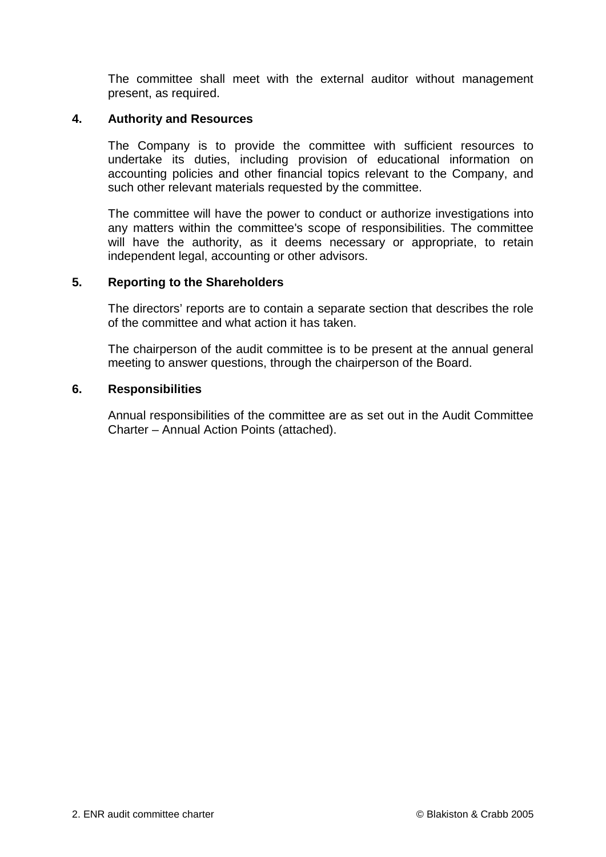The committee shall meet with the external auditor without management present, as required.

## **4. Authority and Resources**

The Company is to provide the committee with sufficient resources to undertake its duties, including provision of educational information on accounting policies and other financial topics relevant to the Company, and such other relevant materials requested by the committee.

The committee will have the power to conduct or authorize investigations into any matters within the committee's scope of responsibilities. The committee will have the authority, as it deems necessary or appropriate, to retain independent legal, accounting or other advisors.

## **5. Reporting to the Shareholders**

The directors' reports are to contain a separate section that describes the role of the committee and what action it has taken.

The chairperson of the audit committee is to be present at the annual general meeting to answer questions, through the chairperson of the Board.

### **6. Responsibilities**

Annual responsibilities of the committee are as set out in the Audit Committee Charter – Annual Action Points (attached).